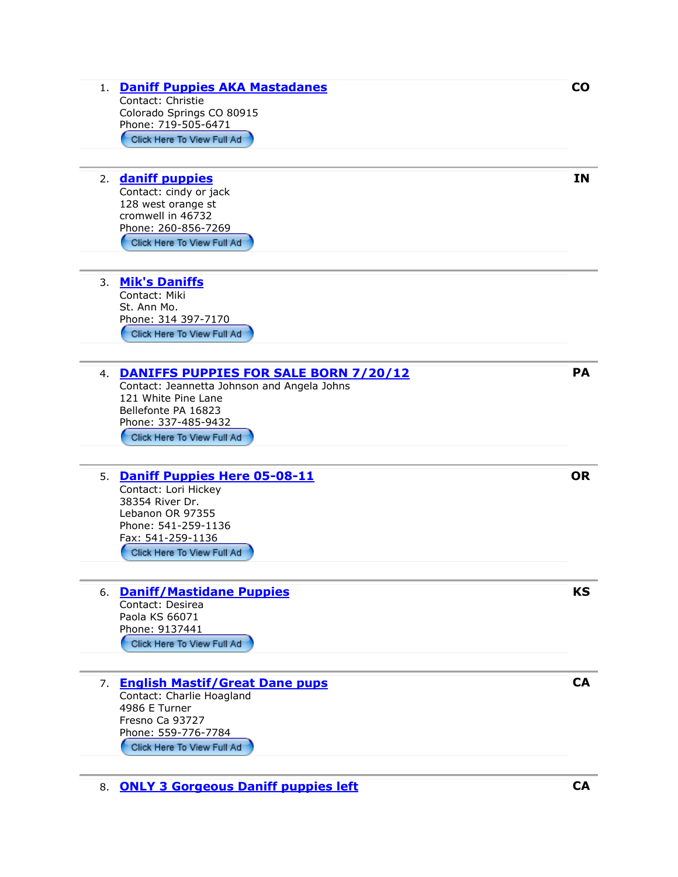| 1. Daniff Puppies AKA Mastadanes<br>Contact: Christie<br>Colorado Springs CO 80915<br>Phone: 719-505-6471<br>Click Here To View Full Ad                                                    | <b>CO</b> |
|--------------------------------------------------------------------------------------------------------------------------------------------------------------------------------------------|-----------|
| daniff puppies<br>2.<br>Contact: cindy or jack<br>128 west orange st<br>cromwell in 46732<br>Phone: 260-856-7269<br>Click Here To View Full Ad                                             | <b>IN</b> |
| <b>Mik's Daniffs</b><br>3.<br>Contact: Miki<br>St. Ann Mo.<br>Phone: 314 397-7170<br>Click Here To View Full Ad                                                                            |           |
| 4. DANIFFS PUPPIES FOR SALE BORN 7/20/12<br>Contact: Jeannetta Johnson and Angela Johns<br>121 White Pine Lane<br>Bellefonte PA 16823<br>Phone: 337-485-9432<br>Click Here To View Full Ad | <b>PA</b> |
| 5. Daniff Puppies Here 05-08-11<br>Contact: Lori Hickey<br>38354 River Dr.<br>Lebanon OR 97355<br>Phone: 541-259-1136<br>Fax: 541-259-1136<br>Click Here To View Full Ad                   | <b>OR</b> |
| <b>Daniff/Mastidane Puppies</b><br>6.<br>Contact: Desirea<br>Paola KS 66071<br>Phone: 9137441<br>Click Here To View Full Ad                                                                | KS        |
| <b>English Mastif/Great Dane pups</b><br>7.<br>Contact: Charlie Hoagland<br>4986 E Turner<br>Fresno Ca 93727<br>Phone: 559-776-7784<br>Click Here To View Full Ad                          | <b>CA</b> |
| 8. ONLY 3 Gorgeous Daniff puppies left                                                                                                                                                     | <b>CA</b> |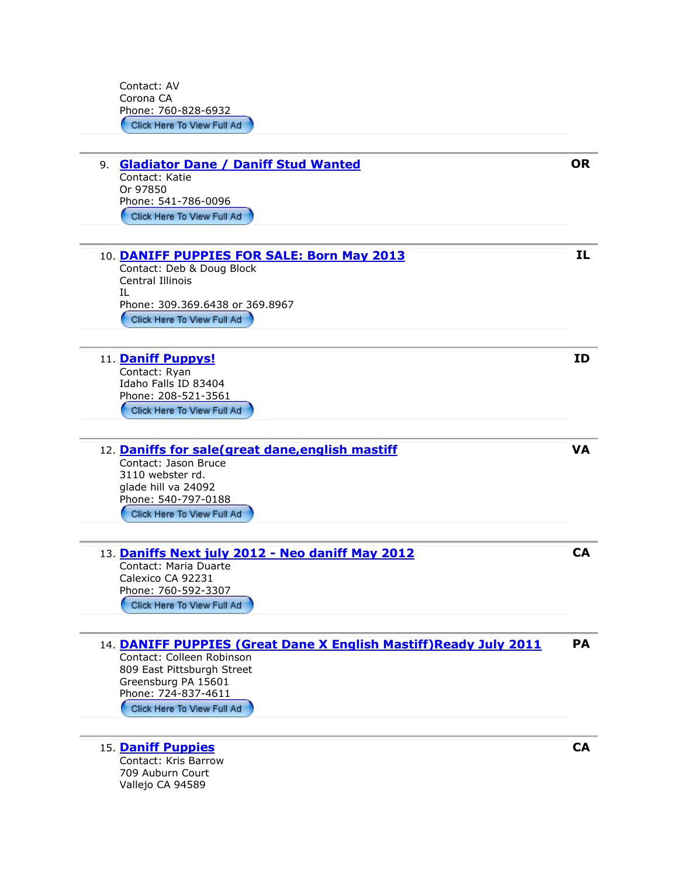Contact: AV Corona CA Phone: 760-828-6932

| 9. Gladiator Dane / Daniff Stud Wanted<br>Contact: Katie<br>Or 97850<br>Phone: 541-786-0096<br>Click Here To View Full Ad                                                                                | <b>OR</b> |
|----------------------------------------------------------------------------------------------------------------------------------------------------------------------------------------------------------|-----------|
|                                                                                                                                                                                                          |           |
| 10. DANIFF PUPPIES FOR SALE: Born May 2013<br>Contact: Deb & Doug Block<br><b>Central Illinois</b><br>IL<br>Phone: 309.369.6438 or 369.8967<br>Click Here To View Full Ad                                | IL.       |
| 11. Daniff Puppys!<br>Contact: Ryan<br>Idaho Falls ID 83404<br>Phone: 208-521-3561<br>Click Here To View Full Ad                                                                                         | ID        |
| 12. Daniffs for sale(great dane, english mastiff<br>Contact: Jason Bruce<br>3110 webster rd.<br>glade hill va 24092<br>Phone: 540-797-0188<br>Click Here To View Full Ad                                 | <b>VA</b> |
| 13. Daniffs Next july 2012 - Neo daniff May 2012<br>Contact: Maria Duarte<br>Calexico CA 92231<br>Phone: 760-592-3307<br>Click Here To View Full Ad                                                      | <b>CA</b> |
| 14. DANIFF PUPPIES (Great Dane X English Mastiff) Ready July 2011<br>Contact: Colleen Robinson<br>809 East Pittsburgh Street<br>Greensburg PA 15601<br>Phone: 724-837-4611<br>Click Here To View Full Ad | DΔ        |
| 15. Daniff Puppies<br>Contact: Kris Barrow                                                                                                                                                               | <b>CA</b> |

709 Auburn Court Vallejo CA 94589